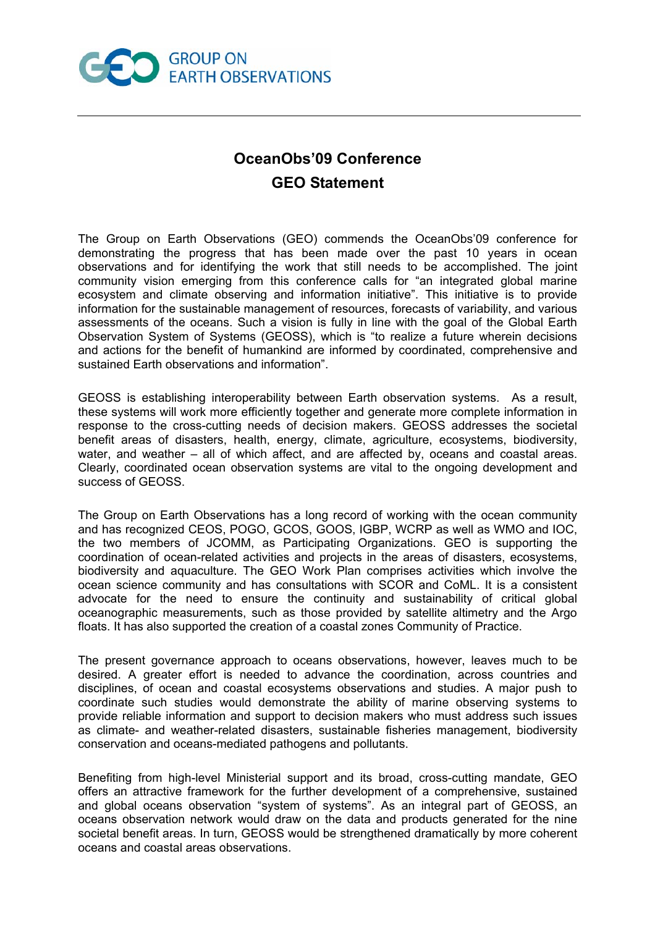

## **OceanObs'09 Conference GEO Statement**

The Group on Earth Observations (GEO) commends the OceanObs'09 conference for demonstrating the progress that has been made over the past 10 years in ocean observations and for identifying the work that still needs to be accomplished. The joint community vision emerging from this conference calls for "an integrated global marine ecosystem and climate observing and information initiative". This initiative is to provide information for the sustainable management of resources, forecasts of variability, and various assessments of the oceans. Such a vision is fully in line with the goal of the Global Earth Observation System of Systems (GEOSS), which is "to realize a future wherein decisions and actions for the benefit of humankind are informed by coordinated, comprehensive and sustained Earth observations and information".

GEOSS is establishing interoperability between Earth observation systems. As a result, these systems will work more efficiently together and generate more complete information in response to the cross-cutting needs of decision makers. GEOSS addresses the societal benefit areas of disasters, health, energy, climate, agriculture, ecosystems, biodiversity, water, and weather – all of which affect, and are affected by, oceans and coastal areas. Clearly, coordinated ocean observation systems are vital to the ongoing development and success of GEOSS.

The Group on Earth Observations has a long record of working with the ocean community and has recognized CEOS, POGO, GCOS, GOOS, IGBP, WCRP as well as WMO and IOC, the two members of JCOMM, as Participating Organizations. GEO is supporting the coordination of ocean-related activities and projects in the areas of disasters, ecosystems, biodiversity and aquaculture. The GEO Work Plan comprises activities which involve the ocean science community and has consultations with SCOR and CoML. It is a consistent advocate for the need to ensure the continuity and sustainability of critical global oceanographic measurements, such as those provided by satellite altimetry and the Argo floats. It has also supported the creation of a coastal zones Community of Practice.

The present governance approach to oceans observations, however, leaves much to be desired. A greater effort is needed to advance the coordination, across countries and disciplines, of ocean and coastal ecosystems observations and studies. A major push to coordinate such studies would demonstrate the ability of marine observing systems to provide reliable information and support to decision makers who must address such issues as climate- and weather-related disasters, sustainable fisheries management, biodiversity conservation and oceans-mediated pathogens and pollutants.

Benefiting from high-level Ministerial support and its broad, cross-cutting mandate, GEO offers an attractive framework for the further development of a comprehensive, sustained and global oceans observation "system of systems". As an integral part of GEOSS, an oceans observation network would draw on the data and products generated for the nine societal benefit areas. In turn, GEOSS would be strengthened dramatically by more coherent oceans and coastal areas observations.